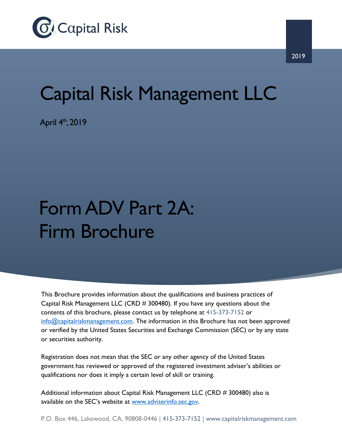

## Capital Risk Management LLC

April  $4<sup>th</sup>$ , 2019

## Form ADV Part 2A: Firm Brochure

This Brochure provides information about the qualifications and business practices of Capital Risk Management LLC (CRD # 300480). If you have any questions about the contents of this brochure, please contact us by telephone at 415-373-7152 or info@capitalriskmanagement.com. The information in this Brochure has not been approved or verified by the United States Securities and Exchange Commission (SEC) or by any state or securities authority.

Registration does not mean that the SEC or any other agency of the United States government has reviewed or approved of the registered investment adviser's abilities or qualifications nor does it imply a certain level of skill or training.

Additional information about Capital Risk Management LLC (CRD # 300480) also is available on the SEC's website at www.adviserinfo.sec.gov.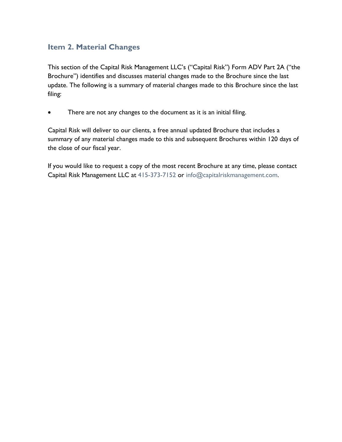## **Item 2. Material Changes**

This section of the Capital Risk Management LLC's ("Capital Risk") Form ADV Part 2A ("the Brochure") identifies and discusses material changes made to the Brochure since the last update. The following is a summary of material changes made to this Brochure since the last filing:

There are not any changes to the document as it is an initial filing.

Capital Risk will deliver to our clients, a free annual updated Brochure that includes a summary of any material changes made to this and subsequent Brochures within 120 days of the close of our fiscal year.

If you would like to request a copy of the most recent Brochure at any time, please contact Capital Risk Management LLC at 415-373-7152 or info@capitalriskmanagement.com.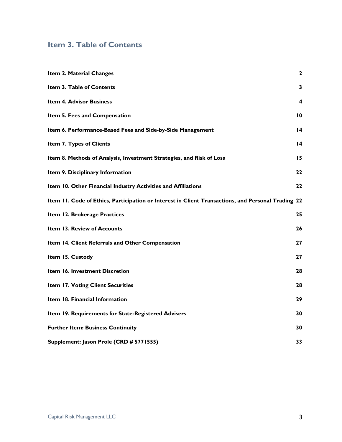## **Item 3. Table of Contents**

| Item 2. Material Changes                                                                           | $\mathbf{z}$    |
|----------------------------------------------------------------------------------------------------|-----------------|
| Item 3. Table of Contents                                                                          | 3               |
| <b>Item 4. Advisor Business</b>                                                                    | 4               |
| Item 5. Fees and Compensation                                                                      | 10              |
| Item 6. Performance-Based Fees and Side-by-Side Management                                         | $\overline{14}$ |
| Item 7. Types of Clients                                                                           | $\overline{14}$ |
| Item 8. Methods of Analysis, Investment Strategies, and Risk of Loss                               | 15              |
| Item 9. Disciplinary Information                                                                   | 22              |
| Item 10. Other Financial Industry Activities and Affiliations                                      | 22              |
| Item 11. Code of Ethics, Participation or Interest in Client Transactions, and Personal Trading 22 |                 |
| Item 12. Brokerage Practices                                                                       | 25              |
| Item 13. Review of Accounts                                                                        | 26              |
| Item 14. Client Referrals and Other Compensation                                                   | 27              |
| Item 15. Custody                                                                                   | 27              |
| Item 16. Investment Discretion                                                                     | 28              |
| Item 17. Voting Client Securities                                                                  | 28              |
| Item 18. Financial Information                                                                     | 29              |
| Item 19. Requirements for State-Registered Advisers                                                | 30              |
| <b>Further Item: Business Continuity</b>                                                           | 30              |
| Supplement: Jason Prole (CRD # 5771555)                                                            | 33              |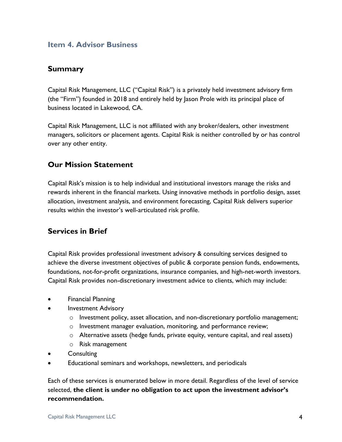#### **Item 4. Advisor Business**

### **Summary**

Capital Risk Management, LLC ("Capital Risk") is a privately held investment advisory firm (the "Firm") founded in 2018 and entirely held by Jason Prole with its principal place of business located in Lakewood, CA.

Capital Risk Management, LLC is not affiliated with any broker/dealers, other investment managers, solicitors or placement agents. Capital Risk is neither controlled by or has control over any other entity.

## **Our Mission Statement**

Capital Risk's mission is to help individual and institutional investors manage the risks and rewards inherent in the financial markets. Using innovative methods in portfolio design, asset allocation, investment analysis, and environment forecasting, Capital Risk delivers superior results within the investor's well-articulated risk profile.

## **Services in Brief**

Capital Risk provides professional investment advisory & consulting services designed to achieve the diverse investment objectives of public & corporate pension funds, endowments, foundations, not-for-profit organizations, insurance companies, and high-net-worth investors. Capital Risk provides non-discretionary investment advice to clients, which may include:

- Financial Planning
- Investment Advisory
	- $\circ$  Investment policy, asset allocation, and non-discretionary portfolio management;
	- o Investment manager evaluation, monitoring, and performance review;
	- o Alternative assets (hedge funds, private equity, venture capital, and real assets)
	- o Risk management
- **Consulting**
- Educational seminars and workshops, newsletters, and periodicals

Each of these services is enumerated below in more detail. Regardless of the level of service selected, **the client is under no obligation to act upon the investment advisor's recommendation.**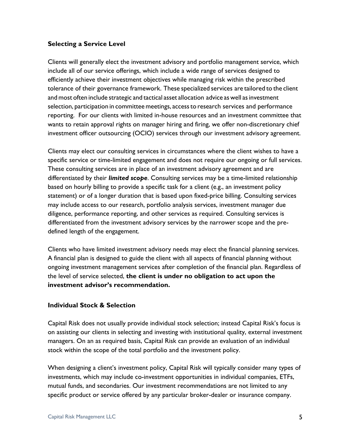#### **Selecting a Service Level**

Clients will generally elect the investment advisory and portfolio management service, which include all of our service offerings, which include a wide range of services designed to efficiently achieve their investment objectives while managing risk within the prescribed tolerance of their governance framework. These specialized services are tailored to the client and most often include strategic and tactical asset allocation advice as well as investment selection, participation in committee meetings, accessto research services and performance reporting. For our clients with limited in-house resources and an investment committee that wants to retain approval rights on manager hiring and firing, we offer non-discretionary chief investment officer outsourcing (OCIO) services through our investment advisory agreement.

Clients may elect our consulting services in circumstances where the client wishes to have a specific service or time-limited engagement and does not require our ongoing or full services. These consulting services are in place of an investment advisory agreement and are differentiated by their *limited scope*. Consulting services may be a time-limited relationship based on hourly billing to provide a specific task for a client (e.g., an investment policy statement) or of a longer duration that is based upon fixed-price billing. Consulting services may include access to our research, portfolio analysis services, investment manager due diligence, performance reporting, and other services as required. Consulting services is differentiated from the investment advisory services by the narrower scope and the predefined length of the engagement.

Clients who have limited investment advisory needs may elect the financial planning services. A financial plan is designed to guide the client with all aspects of financial planning without ongoing investment management services after completion of the financial plan. Regardless of the level of service selected, **the client is under no obligation to act upon the investment advisor's recommendation.**

#### **Individual Stock & Selection**

Capital Risk does not usually provide individual stock selection; instead Capital Risk's focus is on assisting our clients in selecting and investing with institutional quality, external investment managers. On an as required basis, Capital Risk can provide an evaluation of an individual stock within the scope of the total portfolio and the investment policy.

When designing a client's investment policy, Capital Risk will typically consider many types of investments, which may include co-investment opportunities in individual companies, ETFs, mutual funds, and secondaries. Our investment recommendations are not limited to any specific product or service offered by any particular broker-dealer or insurance company.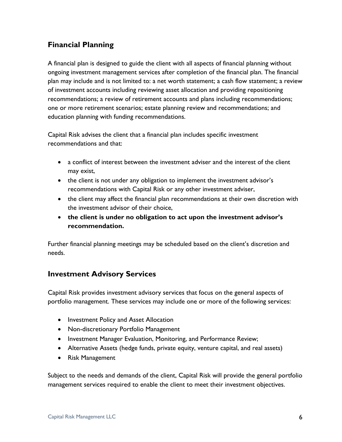## **Financial Planning**

A financial plan is designed to guide the client with all aspects of financial planning without ongoing investment management services after completion of the financial plan. The financial plan may include and is not limited to: a net worth statement; a cash flow statement; a review of investment accounts including reviewing asset allocation and providing repositioning recommendations; a review of retirement accounts and plans including recommendations; one or more retirement scenarios; estate planning review and recommendations; and education planning with funding recommendations.

Capital Risk advises the client that a financial plan includes specific investment recommendations and that:

- a conflict of interest between the investment adviser and the interest of the client may exist,
- the client is not under any obligation to implement the investment advisor's recommendations with Capital Risk or any other investment adviser,
- the client may affect the financial plan recommendations at their own discretion with the investment advisor of their choice,
- **the client is under no obligation to act upon the investment advisor's recommendation.**

Further financial planning meetings may be scheduled based on the client's discretion and needs.

## **Investment Advisory Services**

Capital Risk provides investment advisory services that focus on the general aspects of portfolio management. These services may include one or more of the following services:

- Investment Policy and Asset Allocation
- Non-discretionary Portfolio Management
- Investment Manager Evaluation, Monitoring, and Performance Review;
- Alternative Assets (hedge funds, private equity, venture capital, and real assets)
- Risk Management

Subject to the needs and demands of the client, Capital Risk will provide the general portfolio management services required to enable the client to meet their investment objectives.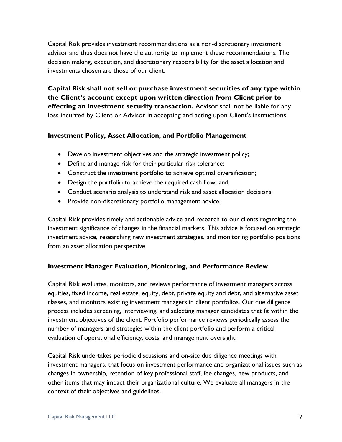Capital Risk provides investment recommendations as a non-discretionary investment advisor and thus does not have the authority to implement these recommendations. The decision making, execution, and discretionary responsibility for the asset allocation and investments chosen are those of our client.

**Capital Risk shall not sell or purchase investment securities of any type within the Client's account except upon written direction from Client prior to effecting an investment security transaction.** Advisor shall not be liable for any loss incurred by Client or Advisor in accepting and acting upon Client's instructions.

#### **Investment Policy, Asset Allocation, and Portfolio Management**

- Develop investment objectives and the strategic investment policy;
- Define and manage risk for their particular risk tolerance;
- Construct the investment portfolio to achieve optimal diversification;
- Design the portfolio to achieve the required cash flow; and
- Conduct scenario analysis to understand risk and asset allocation decisions;
- Provide non-discretionary portfolio management advice.

Capital Risk provides timely and actionable advice and research to our clients regarding the investment significance of changes in the financial markets. This advice is focused on strategic investment advice, researching new investment strategies, and monitoring portfolio positions from an asset allocation perspective.

#### **Investment Manager Evaluation, Monitoring, and Performance Review**

Capital Risk evaluates, monitors, and reviews performance of investment managers across equities, fixed income, real estate, equity, debt, private equity and debt, and alternative asset classes, and monitors existing investment managers in client portfolios. Our due diligence process includes screening, interviewing, and selecting manager candidates that fit within the investment objectives of the client. Portfolio performance reviews periodically assess the number of managers and strategies within the client portfolio and perform a critical evaluation of operational efficiency, costs, and management oversight.

Capital Risk undertakes periodic discussions and on-site due diligence meetings with investment managers, that focus on investment performance and organizational issues such as changes in ownership, retention of key professional staff, fee changes, new products, and other items that may impact their organizational culture. We evaluate all managers in the context of their objectives and guidelines.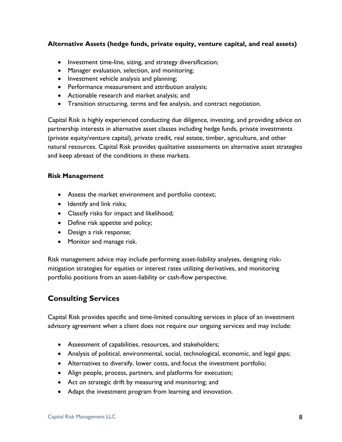#### **Alternative Assets (hedge funds, private equity, venture capital, and real assets)**

- Investment time-line, sizing, and strategy diversification;
- Manager evaluation, selection, and monitoring;
- Investment vehicle analysis and planning;
- Performance measurement and attribution analysis;
- Actionable research and market analysis; and
- Transition structuring, terms and fee analysis, and contract negotiation.

Capital Risk is highly experienced conducting due diligence, investing, and providing advice on partnership interests in alternative asset classes including hedge funds, private investments (private equity/venture capital), private credit, real estate, timber, agriculture, and other natural resources. Capital Risk provides qualitative assessments on alternative asset strategies and keep abreast of the conditions in these markets.

#### **Risk Management**

- Assess the market environment and portfolio context;
- Identify and link risks;
- Classify risks for impact and likelihood;
- Define risk appetite and policy;
- Design a risk response;
- Monitor and manage risk.

Risk management advice may include performing asset-liability analyses, designing riskmitigation strategies for equities or interest rates utilizing derivatives, and monitoring portfolio positions from an asset-liability or cash-flow perspective.

## **Consulting Services**

Capital Risk provides specific and time-limited consulting services in place of an investment advisory agreement when a client does not require our ongoing services and may include:

- Assessment of capabilities, resources, and stakeholders;
- Analysis of political, environmental, social, technological, economic, and legal gaps;
- Alternatives to diversify, lower costs, and focus the investment portfolio;
- Align people, process, partners, and platforms for execution;
- Act on strategic drift by measuring and monitoring; and
- Adapt the investment program from learning and innovation.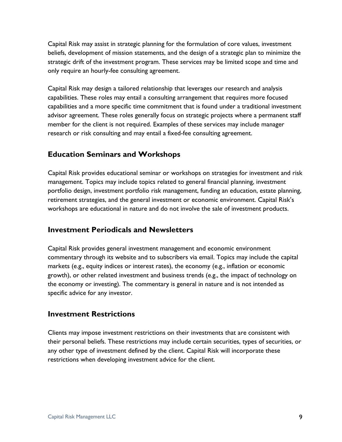Capital Risk may assist in strategic planning for the formulation of core values, investment beliefs, development of mission statements, and the design of a strategic plan to minimize the strategic drift of the investment program. These services may be limited scope and time and only require an hourly-fee consulting agreement.

Capital Risk may design a tailored relationship that leverages our research and analysis capabilities. These roles may entail a consulting arrangement that requires more focused capabilities and a more specific time commitment that is found under a traditional investment advisor agreement. These roles generally focus on strategic projects where a permanent staff member for the client is not required. Examples of these services may include manager research or risk consulting and may entail a fixed-fee consulting agreement.

## **Education Seminars and Workshops**

Capital Risk provides educational seminar or workshops on strategies for investment and risk management. Topics may include topics related to general financial planning, investment portfolio design, investment portfolio risk management, funding an education, estate planning, retirement strategies, and the general investment or economic environment. Capital Risk's workshops are educational in nature and do not involve the sale of investment products.

## **Investment Periodicals and Newsletters**

Capital Risk provides general investment management and economic environment commentary through its website and to subscribers via email. Topics may include the capital markets (e.g., equity indices or interest rates), the economy (e.g., inflation or economic growth), or other related investment and business trends (e.g., the impact of technology on the economy or investing). The commentary is general in nature and is not intended as specific advice for any investor.

## **Investment Restrictions**

Clients may impose investment restrictions on their investments that are consistent with their personal beliefs. These restrictions may include certain securities, types of securities, or any other type of investment defined by the client. Capital Risk will incorporate these restrictions when developing investment advice for the client.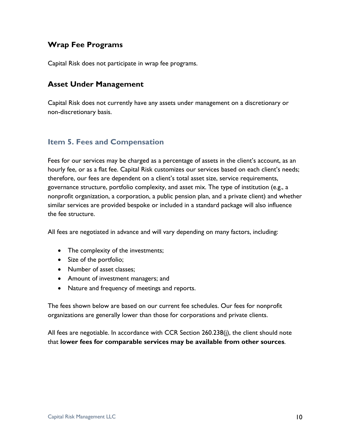## **Wrap Fee Programs**

Capital Risk does not participate in wrap fee programs.

## **Asset Under Management**

Capital Risk does not currently have any assets under management on a discretionary or non-discretionary basis.

#### **Item 5. Fees and Compensation**

Fees for our services may be charged as a percentage of assets in the client's account, as an hourly fee, or as a flat fee. Capital Risk customizes our services based on each client's needs; therefore, our fees are dependent on a client's total asset size, service requirements, governance structure, portfolio complexity, and asset mix. The type of institution (e.g., a nonprofit organization, a corporation, a public pension plan, and a private client) and whether similar services are provided bespoke or included in a standard package will also influence the fee structure.

All fees are negotiated in advance and will vary depending on many factors, including:

- The complexity of the investments;
- Size of the portfolio;
- Number of asset classes;
- Amount of investment managers; and
- Nature and frequency of meetings and reports.

The fees shown below are based on our current fee schedules. Our fees for nonprofit organizations are generally lower than those for corporations and private clients.

All fees are negotiable. In accordance with CCR Section 260.238(j), the client should note that **lower fees for comparable services may be available from other sources**.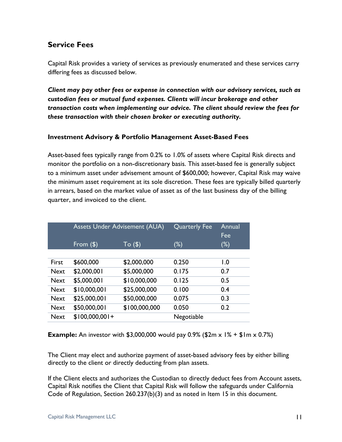## **Service Fees**

Capital Risk provides a variety of services as previously enumerated and these services carry differing fees as discussed below.

*Client may pay other fees or expense in connection with our advisory services, such as custodian fees or mutual fund expenses. Clients will incur brokerage and other transaction costs when implementing our advice. The client should review the fees for these transaction with their chosen broker or executing authority.*

#### **Investment Advisory & Portfolio Management Asset-Based Fees**

Asset-based fees typically range from 0.2% to 1.0% of assets where Capital Risk directs and monitor the portfolio on a non-discretionary basis. This asset-based fee is generally subject to a minimum asset under advisement amount of \$600,000; however, Capital Risk may waive the minimum asset requirement at its sole discretion. These fees are typically billed quarterly in arrears, based on the market value of asset as of the last business day of the billing quarter, and invoiced to the client.

|             | <b>Assets Under Advisement (AUA)</b> |               | <b>Quarterly Fee</b> | Annual<br>Fee |
|-------------|--------------------------------------|---------------|----------------------|---------------|
|             | From $(\$)$                          | To (\$)       | $(\%)$               | $(\%)$        |
|             |                                      |               |                      |               |
| First       | \$600,000                            | \$2,000,000   | 0.250                | 1.0           |
| <b>Next</b> | \$2,000,001                          | \$5,000,000   | 0.175                | 0.7           |
| <b>Next</b> | \$5,000,001                          | \$10,000,000  | 0.125                | 0.5           |
| <b>Next</b> | \$10,000,001                         | \$25,000,000  | 0.100                | 0.4           |
| <b>Next</b> | \$25,000,001                         | \$50,000,000  | 0.075                | 0.3           |
| <b>Next</b> | \$50,000,001                         | \$100,000,000 | 0.050                | 0.2           |
| <b>Next</b> | $$100,000,001+$                      |               | Negotiable           |               |

**Example:** An investor with \$3,000,000 would pay 0.9% (\$2m x  $1\% + $1m \times 0.7\%$ )

The Client may elect and authorize payment of asset-based advisory fees by either billing directly to the client or directly deducting from plan assets.

If the Client elects and authorizes the Custodian to directly deduct fees from Account assets, Capital Risk notifies the Client that Capital Risk will follow the safeguards under California Code of Regulation, Section 260.237(b)(3) and as noted in Item 15 in this document.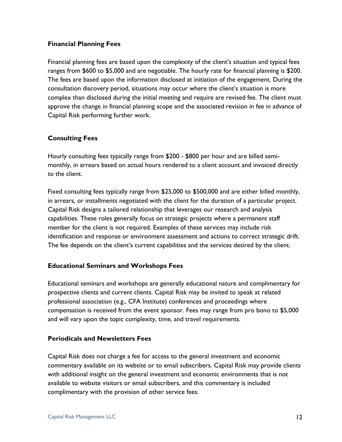#### **Financial Planning Fees**

Financial planning fees are based upon the complexity of the client's situation and typical fees ranges from \$600 to \$5,000 and are negotiable. The hourly rate for financial planning is \$200. The fees are based upon the information disclosed at initiation of the engagement. During the consultation discovery period, situations may occur where the client's situation is more complex than disclosed during the initial meeting and require are revised fee. The client must approve the change in financial planning scope and the associated revision in fee in advance of Capital Risk performing further work.

#### **Consulting Fees**

Hourly consulting fees typically range from \$200 - \$800 per hour and are billed semimonthly, in arrears based on actual hours rendered to a client account and invoiced directly to the client.

Fixed consulting fees typically range from \$25,000 to \$500,000 and are either billed monthly, in arrears, or installments negotiated with the client for the duration of a particular project. Capital Risk designs a tailored relationship that leverages our research and analysis capabilities. These roles generally focus on strategic projects where a permanent staff member for the client is not required. Examples of these services may include risk identification and response or environment assessment and actions to correct strategic drift. The fee depends on the client's current capabilities and the services desired by the client.

#### **Educational Seminars and Workshops Fees**

Educational seminars and workshops are generally educational nature and complimentary for prospective clients and current clients. Capital Risk may be invited to speak at related professional association (e.g., CFA Institute) conferences and proceedings where compensation is received from the event sponsor. Fees may range from pro bono to \$5,000 and will vary upon the topic complexity, time, and travel requirements.

#### **Periodicals and Newsletters Fees**

Capital Risk does not charge a fee for access to the general investment and economic commentary available on its website or to email subscribers. Capital Risk may provide clients with additional insight on the general investment and economic environments that is not available to website visitors or email subscribers, and this commentary is included complimentary with the provision of other service fees.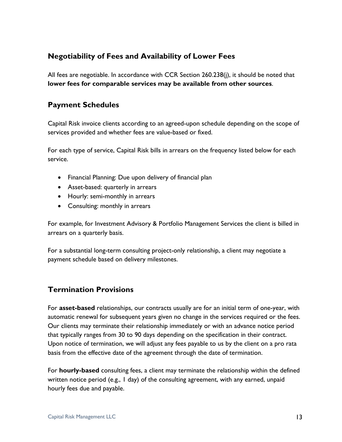## **Negotiability of Fees and Availability of Lower Fees**

All fees are negotiable. In accordance with CCR Section 260.238(j), it should be noted that **lower fees for comparable services may be available from other sources**.

### **Payment Schedules**

Capital Risk invoice clients according to an agreed-upon schedule depending on the scope of services provided and whether fees are value-based or fixed.

For each type of service, Capital Risk bills in arrears on the frequency listed below for each service.

- Financial Planning: Due upon delivery of financial plan
- Asset-based: quarterly in arrears
- Hourly: semi-monthly in arrears
- Consulting: monthly in arrears

For example, for Investment Advisory & Portfolio Management Services the client is billed in arrears on a quarterly basis.

For a substantial long-term consulting project-only relationship, a client may negotiate a payment schedule based on delivery milestones.

## **Termination Provisions**

For **asset-based** relationships, our contracts usually are for an initial term of one-year, with automatic renewal for subsequent years given no change in the services required or the fees. Our clients may terminate their relationship immediately or with an advance notice period that typically ranges from 30 to 90 days depending on the specification in their contract. Upon notice of termination, we will adjust any fees payable to us by the client on a pro rata basis from the effective date of the agreement through the date of termination.

For **hourly-based** consulting fees, a client may terminate the relationship within the defined written notice period (e.g., 1 day) of the consulting agreement, with any earned, unpaid hourly fees due and payable.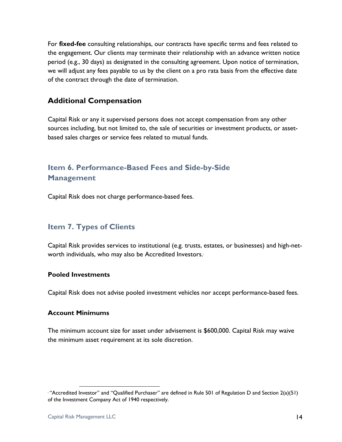For **fixed-fee** consulting relationships, our contracts have specific terms and fees related to the engagement. Our clients may terminate their relationship with an advance written notice period (e.g., 30 days) as designated in the consulting agreement. Upon notice of termination, we will adjust any fees payable to us by the client on a pro rata basis from the effective date of the contract through the date of termination.

## **Additional Compensation**

Capital Risk or any it supervised persons does not accept compensation from any other sources including, but not limited to, the sale of securities or investment products, or assetbased sales charges or service fees related to mutual funds.

## **Item 6. Performance-Based Fees and Side-by-Side Management**

Capital Risk does not charge performance-based fees.

## **Item 7. Types of Clients**

Capital Risk provides services to institutional (e.g. trusts, estates, or businesses) and high-networth individuals, who may also be Accredited Investors.<sup>1</sup>

#### **Pooled Investments**

Capital Risk does not advise pooled investment vehicles nor accept performance-based fees.

#### **Account Minimums**

The minimum account size for asset under advisement is \$600,000. Capital Risk may waive the minimum asset requirement at its sole discretion.

 $\overline{a}$ 

<sup>&</sup>lt;sup>1</sup> "Accredited Investor" and "Qualified Purchaser" are defined in Rule 501 of Regulation D and Section 2(a)(51) of the Investment Company Act of 1940 respectively.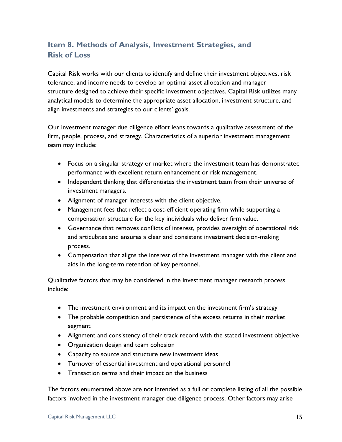## **Item 8. Methods of Analysis, Investment Strategies, and Risk of Loss**

Capital Risk works with our clients to identify and define their investment objectives, risk tolerance, and income needs to develop an optimal asset allocation and manager structure designed to achieve their specific investment objectives. Capital Risk utilizes many analytical models to determine the appropriate asset allocation, investment structure, and align investments and strategies to our clients' goals.

Our investment manager due diligence effort leans towards a qualitative assessment of the firm, people, process, and strategy. Characteristics of a superior investment management team may include:

- Focus on a singular strategy or market where the investment team has demonstrated performance with excellent return enhancement or risk management.
- Independent thinking that differentiates the investment team from their universe of investment managers.
- Alignment of manager interests with the client objective.
- Management fees that reflect a cost-efficient operating firm while supporting a compensation structure for the key individuals who deliver firm value.
- Governance that removes conflicts of interest, provides oversight of operational risk and articulates and ensures a clear and consistent investment decision-making process.
- Compensation that aligns the interest of the investment manager with the client and aids in the long-term retention of key personnel.

Qualitative factors that may be considered in the investment manager research process include:

- The investment environment and its impact on the investment firm's strategy
- The probable competition and persistence of the excess returns in their market segment
- Alignment and consistency of their track record with the stated investment objective
- Organization design and team cohesion
- Capacity to source and structure new investment ideas
- Turnover of essential investment and operational personnel
- Transaction terms and their impact on the business

The factors enumerated above are not intended as a full or complete listing of all the possible factors involved in the investment manager due diligence process. Other factors may arise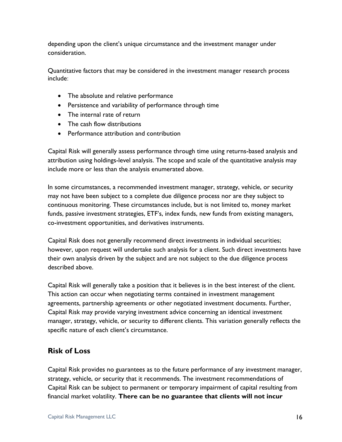depending upon the client's unique circumstance and the investment manager under consideration.

Quantitative factors that may be considered in the investment manager research process include:

- The absolute and relative performance
- Persistence and variability of performance through time
- The internal rate of return
- The cash flow distributions
- Performance attribution and contribution

Capital Risk will generally assess performance through time using returns-based analysis and attribution using holdings-level analysis. The scope and scale of the quantitative analysis may include more or less than the analysis enumerated above.

In some circumstances, a recommended investment manager, strategy, vehicle, or security may not have been subject to a complete due diligence process nor are they subject to continuous monitoring. These circumstances include, but is not limited to, money market funds, passive investment strategies, ETF's, index funds, new funds from existing managers, co-investment opportunities, and derivatives instruments.

Capital Risk does not generally recommend direct investments in individual securities; however, upon request will undertake such analysis for a client. Such direct investments have their own analysis driven by the subject and are not subject to the due diligence process described above.

Capital Risk will generally take a position that it believes is in the best interest of the client. This action can occur when negotiating terms contained in investment management agreements, partnership agreements or other negotiated investment documents. Further, Capital Risk may provide varying investment advice concerning an identical investment manager, strategy, vehicle, or security to different clients. This variation generally reflects the specific nature of each client's circumstance.

## **Risk of Loss**

Capital Risk provides no guarantees as to the future performance of any investment manager, strategy, vehicle, or security that it recommends. The investment recommendations of Capital Risk can be subject to permanent or temporary impairment of capital resulting from financial market volatility. **There can be no guarantee that clients will not incur**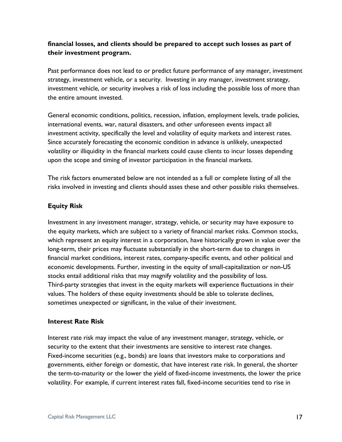#### **financial losses, and clients should be prepared to accept such losses as part of their investment program.**

Past performance does not lead to or predict future performance of any manager, investment strategy, investment vehicle, or a security. Investing in any manager, investment strategy, investment vehicle, or security involves a risk of loss including the possible loss of more than the entire amount invested.

General economic conditions, politics, recession, inflation, employment levels, trade policies, international events, war, natural disasters, and other unforeseen events impact all investment activity, specifically the level and volatility of equity markets and interest rates. Since accurately forecasting the economic condition in advance is unlikely, unexpected volatility or illiquidity in the financial markets could cause clients to incur losses depending upon the scope and timing of investor participation in the financial markets.

The risk factors enumerated below are not intended as a full or complete listing of all the risks involved in investing and clients should asses these and other possible risks themselves.

#### **Equity Risk**

Investment in any investment manager, strategy, vehicle, or security may have exposure to the equity markets, which are subject to a variety of financial market risks. Common stocks, which represent an equity interest in a corporation, have historically grown in value over the long-term, their prices may fluctuate substantially in the short-term due to changes in financial market conditions, interest rates, company-specific events, and other political and economic developments. Further, investing in the equity of small-capitalization or non-US stocks entail additional risks that may magnify volatility and the possibility of loss. Third-party strategies that invest in the equity markets will experience fluctuations in their values. The holders of these equity investments should be able to tolerate declines, sometimes unexpected or significant, in the value of their investment.

#### **Interest Rate Risk**

Interest rate risk may impact the value of any investment manager, strategy, vehicle, or security to the extent that their investments are sensitive to interest rate changes. Fixed-income securities (e.g., bonds) are loans that investors make to corporations and governments, either foreign or domestic, that have interest rate risk. In general, the shorter the term-to-maturity or the lower the yield of fixed-income investments, the lower the price volatility. For example, if current interest rates fall, fixed-income securities tend to rise in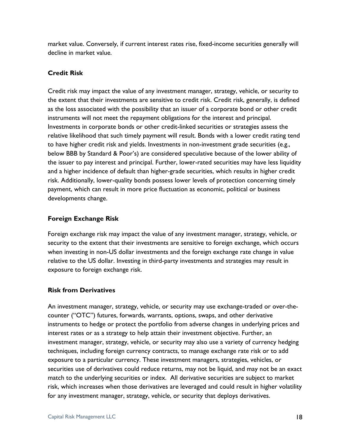market value. Conversely, if current interest rates rise, fixed-income securities generally will decline in market value.

#### **Credit Risk**

Credit risk may impact the value of any investment manager, strategy, vehicle, or security to the extent that their investments are sensitive to credit risk. Credit risk, generally, is defined as the loss associated with the possibility that an issuer of a corporate bond or other credit instruments will not meet the repayment obligations for the interest and principal. Investments in corporate bonds or other credit-linked securities or strategies assess the relative likelihood that such timely payment will result. Bonds with a lower credit rating tend to have higher credit risk and yields. Investments in non-investment grade securities (e.g., below BBB by Standard & Poor's) are considered speculative because of the lower ability of the issuer to pay interest and principal. Further, lower-rated securities may have less liquidity and a higher incidence of default than higher-grade securities, which results in higher credit risk. Additionally, lower-quality bonds possess lower levels of protection concerning timely payment, which can result in more price fluctuation as economic, political or business developments change.

#### **Foreign Exchange Risk**

Foreign exchange risk may impact the value of any investment manager, strategy, vehicle, or security to the extent that their investments are sensitive to foreign exchange, which occurs when investing in non-US dollar investments and the foreign exchange rate change in value relative to the US dollar. Investing in third-party investments and strategies may result in exposure to foreign exchange risk.

## **Risk from Derivatives**

An investment manager, strategy, vehicle, or security may use exchange-traded or over-thecounter ("OTC") futures, forwards, warrants, options, swaps, and other derivative instruments to hedge or protect the portfolio from adverse changes in underlying prices and interest rates or as a strategy to help attain their investment objective. Further, an investment manager, strategy, vehicle, or security may also use a variety of currency hedging techniques, including foreign currency contracts, to manage exchange rate risk or to add exposure to a particular currency. These investment managers, strategies, vehicles, or securities use of derivatives could reduce returns, may not be liquid, and may not be an exact match to the underlying securities or index. All derivative securities are subject to market risk, which increases when those derivatives are leveraged and could result in higher volatility for any investment manager, strategy, vehicle, or security that deploys derivatives.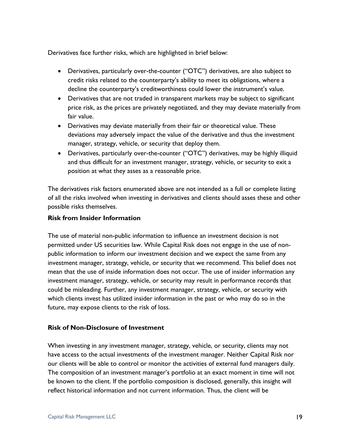Derivatives face further risks, which are highlighted in brief below:

- Derivatives, particularly over-the-counter ("OTC") derivatives, are also subject to credit risks related to the counterparty's ability to meet its obligations, where a decline the counterparty's creditworthiness could lower the instrument's value.
- Derivatives that are not traded in transparent markets may be subject to significant price risk, as the prices are privately negotiated, and they may deviate materially from fair value.
- Derivatives may deviate materially from their fair or theoretical value. These deviations may adversely impact the value of the derivative and thus the investment manager, strategy, vehicle, or security that deploy them.
- Derivatives, particularly over-the-counter ("OTC") derivatives, may be highly illiquid and thus difficult for an investment manager, strategy, vehicle, or security to exit a position at what they asses as a reasonable price.

The derivatives risk factors enumerated above are not intended as a full or complete listing of all the risks involved when investing in derivatives and clients should asses these and other possible risks themselves.

#### **Risk from Insider Information**

The use of material non-public information to influence an investment decision is not permitted under US securities law. While Capital Risk does not engage in the use of nonpublic information to inform our investment decision and we expect the same from any investment manager, strategy, vehicle, or security that we recommend. This belief does not mean that the use of inside information does not occur. The use of insider information any investment manager, strategy, vehicle, or security may result in performance records that could be misleading. Further, any investment manager, strategy, vehicle, or security with which clients invest has utilized insider information in the past or who may do so in the future, may expose clients to the risk of loss.

#### **Risk of Non-Disclosure of Investment**

When investing in any investment manager, strategy, vehicle, or security, clients may not have access to the actual investments of the investment manager. Neither Capital Risk nor our clients will be able to control or monitor the activities of external fund managers daily. The composition of an investment manager's portfolio at an exact moment in time will not be known to the client. If the portfolio composition is disclosed, generally, this insight will reflect historical information and not current information. Thus, the client will be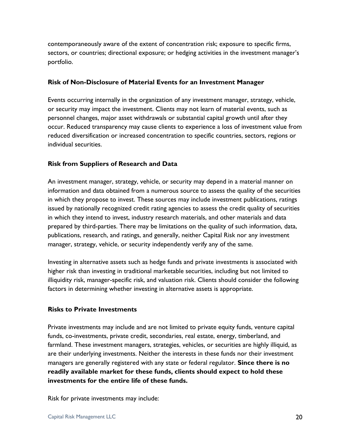contemporaneously aware of the extent of concentration risk; exposure to specific firms, sectors, or countries; directional exposure; or hedging activities in the investment manager's portfolio.

#### **Risk of Non-Disclosure of Material Events for an Investment Manager**

Events occurring internally in the organization of any investment manager, strategy, vehicle, or security may impact the investment. Clients may not learn of material events, such as personnel changes, major asset withdrawals or substantial capital growth until after they occur. Reduced transparency may cause clients to experience a loss of investment value from reduced diversification or increased concentration to specific countries, sectors, regions or individual securities.

#### **Risk from Suppliers of Research and Data**

An investment manager, strategy, vehicle, or security may depend in a material manner on information and data obtained from a numerous source to assess the quality of the securities in which they propose to invest. These sources may include investment publications, ratings issued by nationally recognized credit rating agencies to assess the credit quality of securities in which they intend to invest, industry research materials, and other materials and data prepared by third-parties. There may be limitations on the quality of such information, data, publications, research, and ratings, and generally, neither Capital Risk nor any investment manager, strategy, vehicle, or security independently verify any of the same.

Investing in alternative assets such as hedge funds and private investments is associated with higher risk than investing in traditional marketable securities, including but not limited to illiquidity risk, manager-specific risk, and valuation risk. Clients should consider the following factors in determining whether investing in alternative assets is appropriate.

#### **Risks to Private Investments**

Private investments may include and are not limited to private equity funds, venture capital funds, co-investments, private credit, secondaries, real estate, energy, timberland, and farmland. These investment managers, strategies, vehicles, or securities are highly illiquid, as are their underlying investments. Neither the interests in these funds nor their investment managers are generally registered with any state or federal regulator. **Since there is no readily available market for these funds, clients should expect to hold these investments for the entire life of these funds.**

Risk for private investments may include: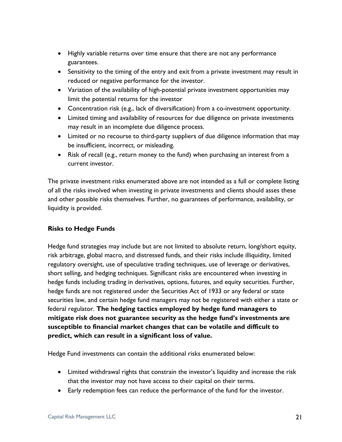- Highly variable returns over time ensure that there are not any performance guarantees.
- Sensitivity to the timing of the entry and exit from a private investment may result in reduced or negative performance for the investor.
- Variation of the availability of high-potential private investment opportunities may limit the potential returns for the investor
- Concentration risk (e.g., lack of diversification) from a co-investment opportunity.
- Limited timing and availability of resources for due diligence on private investments may result in an incomplete due diligence process.
- Limited or no recourse to third-party suppliers of due diligence information that may be insufficient, incorrect, or misleading.
- Risk of recall (e.g., return money to the fund) when purchasing an interest from a current investor.

The private investment risks enumerated above are not intended as a full or complete listing of all the risks involved when investing in private investments and clients should asses these and other possible risks themselves. Further, no guarantees of performance, availability, or liquidity is provided.

#### **Risks to Hedge Funds**

Hedge fund strategies may include but are not limited to absolute return, long/short equity, risk arbitrage, global macro, and distressed funds, and their risks include illiquidity, limited regulatory oversight, use of speculative trading techniques, use of leverage or derivatives, short selling, and hedging techniques. Significant risks are encountered when investing in hedge funds including trading in derivatives, options, futures, and equity securities. Further, hedge funds are not registered under the Securities Act of 1933 or any federal or state securities law, and certain hedge fund managers may not be registered with either a state or federal regulator. **The hedging tactics employed by hedge fund managers to mitigate risk does not guarantee security as the hedge fund's investments are susceptible to financial market changes that can be volatile and difficult to predict, which can result in a significant loss of value.**

Hedge Fund investments can contain the additional risks enumerated below:

- Limited withdrawal rights that constrain the investor's liquidity and increase the risk that the investor may not have access to their capital on their terms.
- Early redemption fees can reduce the performance of the fund for the investor.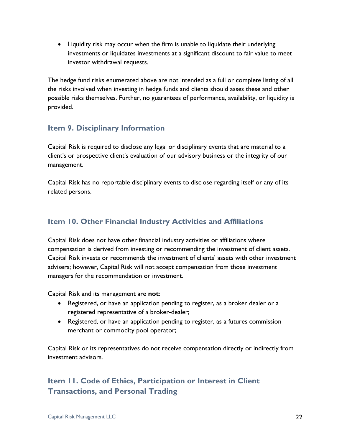• Liquidity risk may occur when the firm is unable to liquidate their underlying investments or liquidates investments at a significant discount to fair value to meet investor withdrawal requests.

The hedge fund risks enumerated above are not intended as a full or complete listing of all the risks involved when investing in hedge funds and clients should asses these and other possible risks themselves. Further, no guarantees of performance, availability, or liquidity is provided.

## **Item 9. Disciplinary Information**

Capital Risk is required to disclose any legal or disciplinary events that are material to a client's or prospective client's evaluation of our advisory business or the integrity of our management.

Capital Risk has no reportable disciplinary events to disclose regarding itself or any of its related persons.

## **Item 10. Other Financial Industry Activities and Affiliations**

Capital Risk does not have other financial industry activities or affiliations where compensation is derived from investing or recommending the investment of client assets. Capital Risk invests or recommends the investment of clients' assets with other investment advisers; however, Capital Risk will not accept compensation from those investment managers for the recommendation or investment.

Capital Risk and its management are **not**:

- Registered, or have an application pending to register, as a broker dealer or a registered representative of a broker-dealer;
- Registered, or have an application pending to register, as a futures commission merchant or commodity pool operator;

Capital Risk or its representatives do not receive compensation directly or indirectly from investment advisors.

## **Item 11. Code of Ethics, Participation or Interest in Client Transactions, and Personal Trading**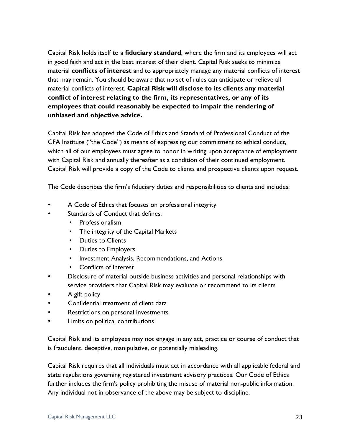Capital Risk holds itself to a **fiduciary standard**, where the firm and its employees will act in good faith and act in the best interest of their client. Capital Risk seeks to minimize material **conflicts of interest** and to appropriately manage any material conflicts of interest that may remain. You should be aware that no set of rules can anticipate or relieve all material conflicts of interest. **Capital Risk will disclose to its clients any material conflict of interest relating to the firm, its representatives, or any of its employees that could reasonably be expected to impair the rendering of unbiased and objective advice.**

Capital Risk has adopted the Code of Ethics and Standard of Professional Conduct of the CFA Institute ("the Code") as means of expressing our commitment to ethical conduct, which all of our employees must agree to honor in writing upon acceptance of employment with Capital Risk and annually thereafter as a condition of their continued employment. Capital Risk will provide a copy of the Code to clients and prospective clients upon request.

The Code describes the firm's fiduciary duties and responsibilities to clients and includes:

- A Code of Ethics that focuses on professional integrity
- Standards of Conduct that defines:
	- Professionalism
	- The integrity of the Capital Markets
	- Duties to Clients
	- Duties to Employers
	- Investment Analysis, Recommendations, and Actions
	- Conflicts of Interest
- Disclosure of material outside business activities and personal relationships with service providers that Capital Risk may evaluate or recommend to its clients
- A gift policy
- Confidential treatment of client data
- Restrictions on personal investments
- Limits on political contributions

Capital Risk and its employees may not engage in any act, practice or course of conduct that is fraudulent, deceptive, manipulative, or potentially misleading.

Capital Risk requires that all individuals must act in accordance with all applicable federal and state regulations governing registered investment advisory practices. Our Code of Ethics further includes the firm's policy prohibiting the misuse of material non-public information. Any individual not in observance of the above may be subject to discipline.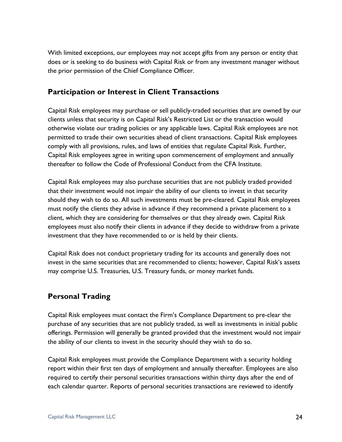With limited exceptions, our employees may not accept gifts from any person or entity that does or is seeking to do business with Capital Risk or from any investment manager without the prior permission of the Chief Compliance Officer.

### **Participation or Interest in Client Transactions**

Capital Risk employees may purchase or sell publicly-traded securities that are owned by our clients unless that security is on Capital Risk's Restricted List or the transaction would otherwise violate our trading policies or any applicable laws. Capital Risk employees are not permitted to trade their own securities ahead of client transactions. Capital Risk employees comply with all provisions, rules, and laws of entities that regulate Capital Risk. Further, Capital Risk employees agree in writing upon commencement of employment and annually thereafter to follow the Code of Professional Conduct from the CFA Institute.

Capital Risk employees may also purchase securities that are not publicly traded provided that their investment would not impair the ability of our clients to invest in that security should they wish to do so. All such investments must be pre-cleared. Capital Risk employees must notify the clients they advise in advance if they recommend a private placement to a client, which they are considering for themselves or that they already own. Capital Risk employees must also notify their clients in advance if they decide to withdraw from a private investment that they have recommended to or is held by their clients.

Capital Risk does not conduct proprietary trading for its accounts and generally does not invest in the same securities that are recommended to clients; however, Capital Risk's assets may comprise U.S. Treasuries, U.S. Treasury funds, or money market funds.

## **Personal Trading**

Capital Risk employees must contact the Firm's Compliance Department to pre-clear the purchase of any securities that are not publicly traded, as well as investments in initial public offerings. Permission will generally be granted provided that the investment would not impair the ability of our clients to invest in the security should they wish to do so.

Capital Risk employees must provide the Compliance Department with a security holding report within their first ten days of employment and annually thereafter. Employees are also required to certify their personal securities transactions within thirty days after the end of each calendar quarter. Reports of personal securities transactions are reviewed to identify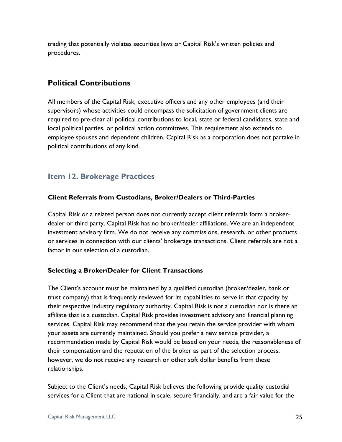trading that potentially violates securities laws or Capital Risk's written policies and procedures.

## **Political Contributions**

All members of the Capital Risk, executive officers and any other employees (and their supervisors) whose activities could encompass the solicitation of government clients are required to pre-clear all political contributions to local, state or federal candidates, state and local political parties, or political action committees. This requirement also extends to employee spouses and dependent children. Capital Risk as a corporation does not partake in political contributions of any kind.

## **Item 12. Brokerage Practices**

#### **Client Referrals from Custodians, Broker/Dealers or Third-Parties**

Capital Risk or a related person does not currently accept client referrals form a brokerdealer or third party. Capital Risk has no broker/dealer affiliations. We are an independent investment advisory firm. We do not receive any commissions, research, or other products or services in connection with our clients' brokerage transactions. Client referrals are not a factor in our selection of a custodian.

#### **Selecting a Broker/Dealer for Client Transactions**

The Client's account must be maintained by a qualified custodian (broker/dealer, bank or trust company) that is frequently reviewed for its capabilities to serve in that capacity by their respective industry regulatory authority. Capital Risk is not a custodian nor is there an affiliate that is a custodian. Capital Risk provides investment advisory and financial planning services. Capital Risk may recommend that the you retain the service provider with whom your assets are currently maintained. Should you prefer a new service provider, a recommendation made by Capital Risk would be based on your needs, the reasonableness of their compensation and the reputation of the broker as part of the selection process; however, we do not receive any research or other soft dollar benefits from these relationships.

Subject to the Client's needs, Capital Risk believes the following provide quality custodial services for a Client that are national in scale, secure financially, and are a fair value for the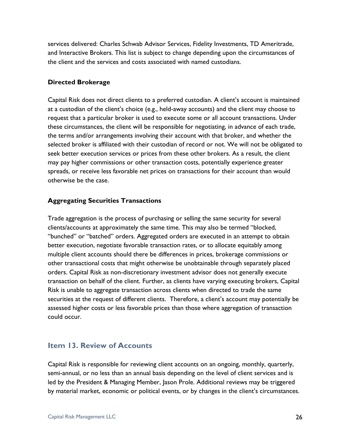services delivered: Charles Schwab Advisor Services, Fidelity Investments, TD Ameritrade, and Interactive Brokers. This list is subject to change depending upon the circumstances of the client and the services and costs associated with named custodians.

#### **Directed Brokerage**

Capital Risk does not direct clients to a preferred custodian. A client's account is maintained at a custodian of the client's choice (e.g., held-away accounts) and the client may choose to request that a particular broker is used to execute some or all account transactions. Under these circumstances, the client will be responsible for negotiating, in advance of each trade, the terms and/or arrangements involving their account with that broker, and whether the selected broker is affiliated with their custodian of record or not. We will not be obligated to seek better execution services or prices from these other brokers. As a result, the client may pay higher commissions or other transaction costs, potentially experience greater spreads, or receive less favorable net prices on transactions for their account than would otherwise be the case.

#### **Aggregating Securities Transactions**

Trade aggregation is the process of purchasing or selling the same security for several clients/accounts at approximately the same time. This may also be termed "blocked, "bunched" or "batched" orders. Aggregated orders are executed in an attempt to obtain better execution, negotiate favorable transaction rates, or to allocate equitably among multiple client accounts should there be differences in prices, brokerage commissions or other transactional costs that might otherwise be unobtainable through separately placed orders. Capital Risk as non-discretionary investment advisor does not generally execute transaction on behalf of the client. Further, as clients have varying executing brokers, Capital Risk is unable to aggregate transaction across clients when directed to trade the same securities at the request of different clients. Therefore, a client's account may potentially be assessed higher costs or less favorable prices than those where aggregation of transaction could occur.

## **Item 13. Review of Accounts**

Capital Risk is responsible for reviewing client accounts on an ongoing, monthly, quarterly, semi-annual, or no less than an annual basis depending on the level of client services and is led by the President & Managing Member, Jason Prole. Additional reviews may be triggered by material market, economic or political events, or by changes in the client's circumstances.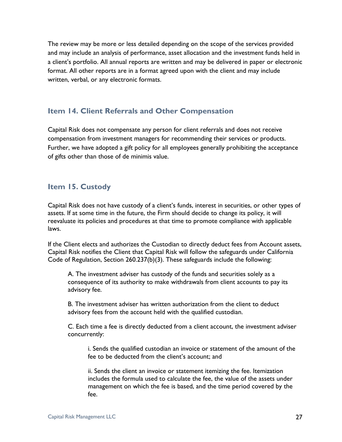The review may be more or less detailed depending on the scope of the services provided and may include an analysis of performance, asset allocation and the investment funds held in a client's portfolio. All annual reports are written and may be delivered in paper or electronic format. All other reports are in a format agreed upon with the client and may include written, verbal, or any electronic formats.

## **Item 14. Client Referrals and Other Compensation**

Capital Risk does not compensate any person for client referrals and does not receive compensation from investment managers for recommending their services or products. Further, we have adopted a gift policy for all employees generally prohibiting the acceptance of gifts other than those of de minimis value.

## **Item 15. Custody**

Capital Risk does not have custody of a client's funds, interest in securities, or other types of assets. If at some time in the future, the Firm should decide to change its policy, it will reevaluate its policies and procedures at that time to promote compliance with applicable laws.

If the Client elects and authorizes the Custodian to directly deduct fees from Account assets, Capital Risk notifies the Client that Capital Risk will follow the safeguards under California Code of Regulation, Section 260.237(b)(3). These safeguards include the following:

A. The investment adviser has custody of the funds and securities solely as a consequence of its authority to make withdrawals from client accounts to pay its advisory fee.

B. The investment adviser has written authorization from the client to deduct advisory fees from the account held with the qualified custodian.

C. Each time a fee is directly deducted from a client account, the investment adviser concurrently:

i. Sends the qualified custodian an invoice or statement of the amount of the fee to be deducted from the client's account; and

ii. Sends the client an invoice or statement itemizing the fee. Itemization includes the formula used to calculate the fee, the value of the assets under management on which the fee is based, and the time period covered by the fee.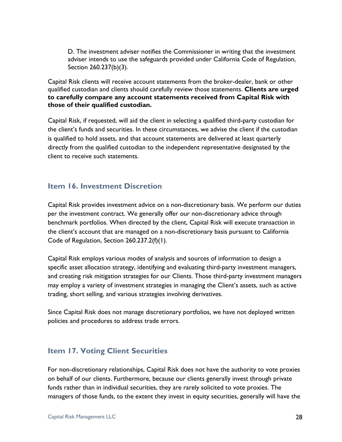D. The investment adviser notifies the Commissioner in writing that the investment adviser intends to use the safeguards provided under California Code of Regulation, Section 260.237(b)(3).

Capital Risk clients will receive account statements from the broker-dealer, bank or other qualified custodian and clients should carefully review those statements. **Clients are urged to carefully compare any account statements received from Capital Risk with those of their qualified custodian.**

Capital Risk, if requested, will aid the client in selecting a qualified third-party custodian for the client's funds and securities. In these circumstances, we advise the client if the custodian is qualified to hold assets, and that account statements are delivered at least quarterly directly from the qualified custodian to the independent representative designated by the client to receive such statements.

#### **Item 16. Investment Discretion**

Capital Risk provides investment advice on a non-discretionary basis. We perform our duties per the investment contract. We generally offer our non-discretionary advice through benchmark portfolios. When directed by the client, Capital Risk will execute transaction in the client's account that are managed on a non-discretionary basis pursuant to California Code of Regulation, Section 260.237.2(f)(1).

Capital Risk employs various modes of analysis and sources of information to design a specific asset allocation strategy, identifying and evaluating third-party investment managers, and creating risk mitigation strategies for our Clients. Those third-party investment managers may employ a variety of investment strategies in managing the Client's assets, such as active trading, short selling, and various strategies involving derivatives.

Since Capital Risk does not manage discretionary portfolios, we have not deployed written policies and procedures to address trade errors.

## **Item 17. Voting Client Securities**

For non-discretionary relationships, Capital Risk does not have the authority to vote proxies on behalf of our clients. Furthermore, because our clients generally invest through private funds rather than in individual securities, they are rarely solicited to vote proxies. The managers of those funds, to the extent they invest in equity securities, generally will have the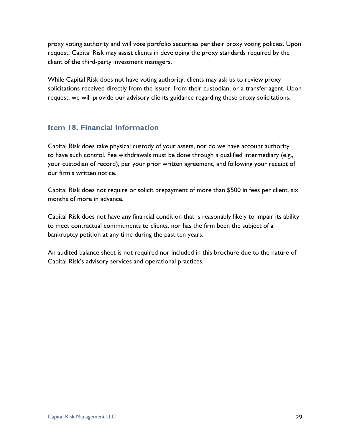proxy voting authority and will vote portfolio securities per their proxy voting policies. Upon request, Capital Risk may assist clients in developing the proxy standards required by the client of the third-party investment managers.

While Capital Risk does not have voting authority, clients may ask us to review proxy solicitations received directly from the issuer, from their custodian, or a transfer agent. Upon request, we will provide our advisory clients guidance regarding these proxy solicitations.

## **Item 18. Financial Information**

Capital Risk does take physical custody of your assets, nor do we have account authority to have such control. Fee withdrawals must be done through a qualified intermediary (e.g., your custodian of record), per your prior written agreement, and following your receipt of our firm's written notice.

Capital Risk does not require or solicit prepayment of more than \$500 in fees per client, six months of more in advance.

Capital Risk does not have any financial condition that is reasonably likely to impair its ability to meet contractual commitments to clients, nor has the firm been the subject of a bankruptcy petition at any time during the past ten years.

An audited balance sheet is not required nor included in this brochure due to the nature of Capital Risk's advisory services and operational practices.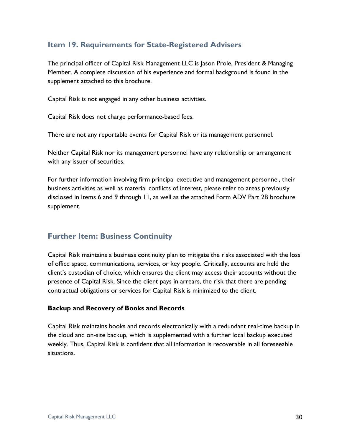## **Item 19. Requirements for State-Registered Advisers**

The principal officer of Capital Risk Management LLC is Jason Prole, President & Managing Member. A complete discussion of his experience and formal background is found in the supplement attached to this brochure.

Capital Risk is not engaged in any other business activities.

Capital Risk does not charge performance-based fees.

There are not any reportable events for Capital Risk or its management personnel.

Neither Capital Risk nor its management personnel have any relationship or arrangement with any issuer of securities.

For further information involving firm principal executive and management personnel, their business activities as well as material conflicts of interest, please refer to areas previously disclosed in Items 6 and 9 through 11, as well as the attached Form ADV Part 2B brochure supplement.

## **Further Item: Business Continuity**

Capital Risk maintains a business continuity plan to mitigate the risks associated with the loss of office space, communications, services, or key people. Critically, accounts are held the client's custodian of choice, which ensures the client may access their accounts without the presence of Capital Risk. Since the client pays in arrears, the risk that there are pending contractual obligations or services for Capital Risk is minimized to the client.

#### **Backup and Recovery of Books and Records**

Capital Risk maintains books and records electronically with a redundant real-time backup in the cloud and on-site backup, which is supplemented with a further local backup executed weekly. Thus, Capital Risk is confident that all information is recoverable in all foreseeable situations.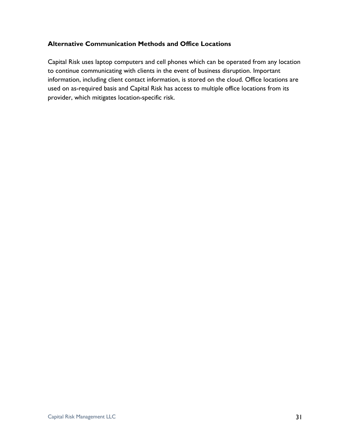#### **Alternative Communication Methods and Office Locations**

Capital Risk uses laptop computers and cell phones which can be operated from any location to continue communicating with clients in the event of business disruption. Important information, including client contact information, is stored on the cloud. Office locations are used on as-required basis and Capital Risk has access to multiple office locations from its provider, which mitigates location-specific risk.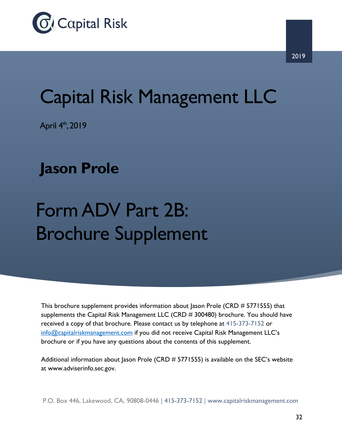

# Capital Risk Management LLC

April 4<sup>th</sup>, 2019

## **Jason Prole**

## Form ADV Part 2B: Brochure Supplement

This brochure supplement provides information about Jason Prole (CRD # 5771555) that supplements the Capital Risk Management LLC (CRD # 300480) brochure. You should have received a copy of that brochure. Please contact us by telephone at 415-373-7152 or info@capitalriskmanagement.com if you did not receive Capital Risk Management LLC's brochure or if you have any questions about the contents of this supplement.

Additional information about Jason Prole (CRD # 5771555) is available on the SEC's website at www.adviserinfo.sec.gov.

P.O. Box 446, Lakewood, CA, 90808-0446 | 415-373-7152 | www.capitalriskmanagement.com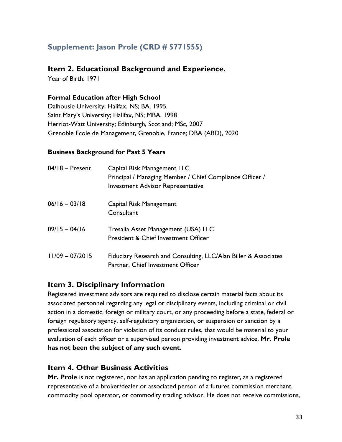## **Supplement: Jason Prole (CRD # 5771555)**

#### **Item 2. Educational Background and Experience.**

Year of Birth: 1971

#### **Formal Education after High School**

Dalhousie University; Halifax, NS; BA, 1995. Saint Mary's University; Halifax, NS; MBA, 1998 Herriot-Watt University; Edinburgh, Scotland; MSc, 2007 Grenoble Ecole de Management, Grenoble, France; DBA (ABD), 2020

#### **Business Background for Past 5 Years**

| $04/18$ – Present | Capital Risk Management LLC<br>Principal / Managing Member / Chief Compliance Officer /<br><b>Investment Advisor Representative</b> |
|-------------------|-------------------------------------------------------------------------------------------------------------------------------------|
| $06/16 - 03/18$   | Capital Risk Management<br>Consultant                                                                                               |
| $09/15 - 04/16$   | Tresalia Asset Management (USA) LLC<br><b>President &amp; Chief Investment Officer</b>                                              |
| $11/09 - 07/2015$ | Fiduciary Research and Consulting, LLC/Alan Biller & Associates<br>Partner, Chief Investment Officer                                |

## **Item 3. Disciplinary Information**

Registered investment advisors are required to disclose certain material facts about its associated personnel regarding any legal or disciplinary events, including criminal or civil action in a domestic, foreign or military court, or any proceeding before a state, federal or foreign regulatory agency, self-regulatory organization, or suspension or sanction by a professional association for violation of its conduct rules, that would be material to your evaluation of each officer or a supervised person providing investment advice. **Mr. Prole has not been the subject of any such event.**

## **Item 4. Other Business Activities**

**Mr. Prole** is not registered, nor has an application pending to register, as a registered representative of a broker/dealer or associated person of a futures commission merchant, commodity pool operator, or commodity trading advisor. He does not receive commissions,